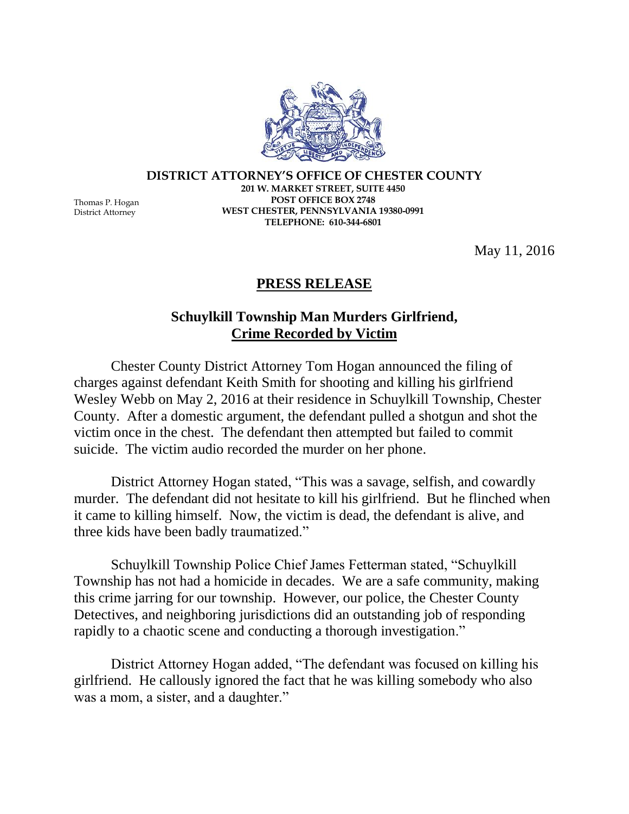**DISTRICT ATTORNEY'S OFFICE OF CHESTER COUNTY 201 W. MARKET STREET, SUITE 4450 POST OFFICE BOX 2748 WEST CHESTER, PENNSYLVANIA 19380-0991 TELEPHONE: 610-344-6801**

May 11, 2016

## **PRESS RELEASE**

## **Schuylkill Township Man Murders Girlfriend, Crime Recorded by Victim**

Chester County District Attorney Tom Hogan announced the filing of charges against defendant Keith Smith for shooting and killing his girlfriend Wesley Webb on May 2, 2016 at their residence in Schuylkill Township, Chester County. After a domestic argument, the defendant pulled a shotgun and shot the victim once in the chest. The defendant then attempted but failed to commit suicide. The victim audio recorded the murder on her phone.

District Attorney Hogan stated, "This was a savage, selfish, and cowardly murder. The defendant did not hesitate to kill his girlfriend. But he flinched when it came to killing himself. Now, the victim is dead, the defendant is alive, and three kids have been badly traumatized."

Schuylkill Township Police Chief James Fetterman stated, "Schuylkill Township has not had a homicide in decades. We are a safe community, making this crime jarring for our township. However, our police, the Chester County Detectives, and neighboring jurisdictions did an outstanding job of responding rapidly to a chaotic scene and conducting a thorough investigation."

District Attorney Hogan added, "The defendant was focused on killing his girlfriend. He callously ignored the fact that he was killing somebody who also was a mom, a sister, and a daughter."

Thomas P. Hogan District Attorney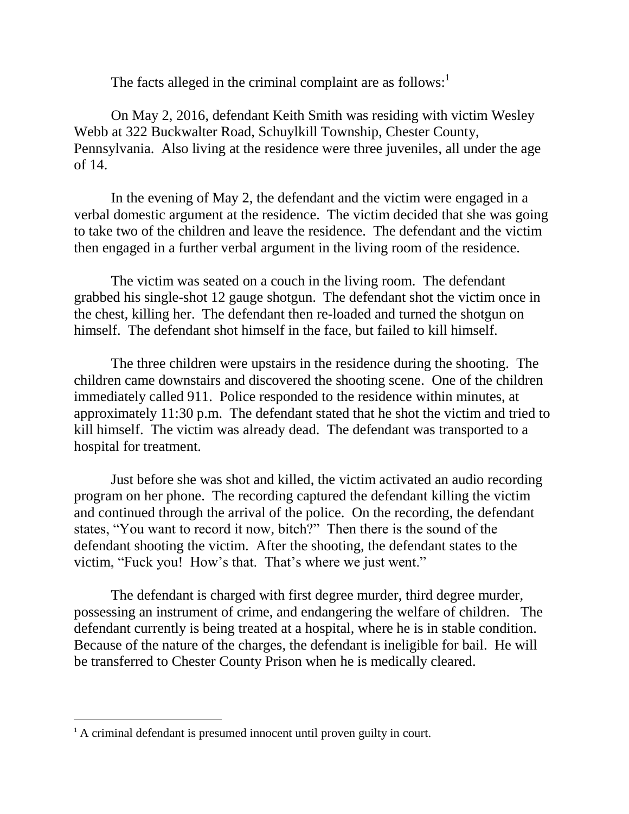The facts alleged in the criminal complaint are as follows:<sup>1</sup>

On May 2, 2016, defendant Keith Smith was residing with victim Wesley Webb at 322 Buckwalter Road, Schuylkill Township, Chester County, Pennsylvania. Also living at the residence were three juveniles, all under the age of 14.

In the evening of May 2, the defendant and the victim were engaged in a verbal domestic argument at the residence. The victim decided that she was going to take two of the children and leave the residence. The defendant and the victim then engaged in a further verbal argument in the living room of the residence.

The victim was seated on a couch in the living room. The defendant grabbed his single-shot 12 gauge shotgun. The defendant shot the victim once in the chest, killing her. The defendant then re-loaded and turned the shotgun on himself. The defendant shot himself in the face, but failed to kill himself.

The three children were upstairs in the residence during the shooting. The children came downstairs and discovered the shooting scene. One of the children immediately called 911. Police responded to the residence within minutes, at approximately 11:30 p.m. The defendant stated that he shot the victim and tried to kill himself. The victim was already dead. The defendant was transported to a hospital for treatment.

Just before she was shot and killed, the victim activated an audio recording program on her phone. The recording captured the defendant killing the victim and continued through the arrival of the police. On the recording, the defendant states, "You want to record it now, bitch?" Then there is the sound of the defendant shooting the victim. After the shooting, the defendant states to the victim, "Fuck you! How's that. That's where we just went."

The defendant is charged with first degree murder, third degree murder, possessing an instrument of crime, and endangering the welfare of children. The defendant currently is being treated at a hospital, where he is in stable condition. Because of the nature of the charges, the defendant is ineligible for bail. He will be transferred to Chester County Prison when he is medically cleared.

 $\overline{a}$ 

<sup>&</sup>lt;sup>1</sup> A criminal defendant is presumed innocent until proven guilty in court.